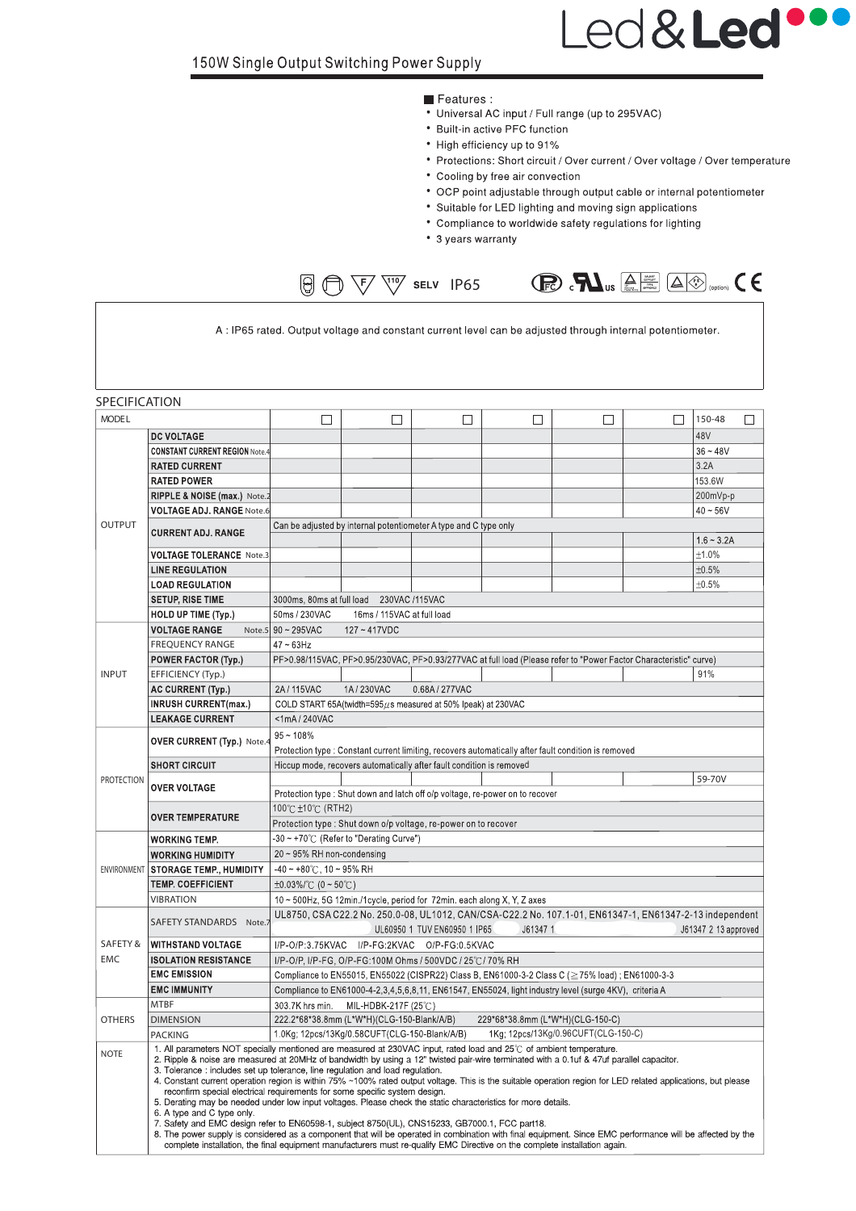# Led&Led

#### Features:

- Universal AC input / Full range (up to 295VAC)
- Built-in active PFC function
- High efficiency up to 91%
- Protections: Short circuit / Over current / Over voltage / Over temperature
- Cooling by free air convection
- OCP point adjustable through output cable or internal potentiometer
- Suitable for LED lighting and moving sign applications
- Compliance to worldwide safety regulations for lighting
- 3 years warranty

A : IP65 rated. Output voltage and constant current level can be adjusted through internal potentiometer.

 $\bigcirc$   $\bigcirc$   $\bigcirc$   $\bigcirc$   $\bigcirc$   $\bigcirc$   $\bigcirc$   $\bigcirc$   $\bigcirc$   $\bigcirc$   $\bigcirc$   $\bigcirc$   $\bigcirc$   $\bigcirc$   $\bigcirc$   $\bigcirc$   $\bigcirc$   $\bigcirc$   $\bigcirc$   $\bigcirc$   $\bigcirc$   $\bigcirc$   $\bigcirc$   $\bigcirc$   $\bigcirc$   $\bigcirc$   $\bigcirc$   $\bigcirc$   $\bigcirc$   $\bigcirc$   $\bigcirc$   $\bigcirc$   $\bigcirc$   $\bigcirc$   $\bigcirc$   $\bigcirc$   $\bigcirc$  $\bigcirc$   $\bigcirc$   $\bigcirc$   $\bigcirc$   $\bigcirc$  selv IP65

SPECIFICATION **MODEL**  $\Box$  $\Box$  $\Box$  $\Box$  $\Box$  $\Box$ 150-48  $\Box$ **DC VOLTAGE** 48V **CONSTANT CURRENT REGION Note**  $36 - 48V$ **RATED CURRENT**  $\overline{32A}$ **RATED POWER** 153.6W RIPPLE & NOISE (max.) Note 200mVp-p **VOLTAGE ADJ. RANGE Note.6**  $40 - 56V$ OUTPUT Can be adjusted by internal potentiometer A type and C type only **CURRENT ADJ. RANGE**  $1.6 - 3.2A$ **VOLTAGE TOLERANCE Note.**  $±1.0%$ **LINE REGULATION**  $±0.5%$ **LOAD REGULATION**  $±0.5%$ **SETUP, RISE TIME** 3000ms, 80ms at full load 230VAC /115VAC **HOLD UP TIME (Typ.)** 50ms / 230VAC 16ms / 115VAC at full load  $90 \sim 295 \text{VAC}$ **VOLTAGE RANGE**  $127 - 417$ VDC Note<sup>s</sup> **FREOUENCY RANGE**  $47 \sim 63$ Hz PF>0.98/115VAC, PF>0.95/230VAC, PF>0.93/277VAC at full load (Please refer to "Power Factor Characteristic" curve) POWER FACTOR (Typ.) **INDUT** EFFICIENCY (Typ.) 91% AC CURRENT (Typ.) 2A/115VAC 1A/230VAC 0.68A / 277VAC **INRUSH CURRENT(max.)** COLD START 65A(twidth=595 $\mu$ s measured at 50% lpeak) at 230VAC **LEAKAGE CURRENT** <1mA/240VAC  $95 - 108%$ OVER CURRENT (Typ.) Note. Protection type : Constant current limiting, recovers automatically after fault condition is removed **SHORT CIRCUIT** Hiccup mode, recovers automatically after fault condition is removed PROTECTION 59-70V **OVER VOLTAGE** Protection type : Shut down and latch off o/p voltage, re-power on to recover 100°C ±10°C (RTH2) **OVER TEMPERATURE** Protection type : Shut down o/p voltage, re-power on to recover **WORKING TEMP.** -30~+70°C (Refer to "Derating Curve") **WORKING HUMIDITY** 20 ~ 95% RH non-condensing **STORAGE TEMP., HUMIDITY**  $-40 - +80^{\circ}$ C, 10 ~ 95% RH **FNVIRONMEN TEMP. COEFFICIENT** ±0.03%/°C (0~50°C) **VIBRATION** 10 ~ 500Hz, 5G 12min./1cycle, period for 72min. each along X, Y, Z axes UL8750, CSA C22.2 No. 250.0-08, UL1012, CAN/CSA-C22.2 No. 107.1-01, EN61347-1, EN61347-2-13 independent SAFETY STANDARDS Note UL60950 1 TUV EN60950 1 IP65 J61347 2 13 approved J61347 1 **WITHSTAND VOLTAGE SAFETY &** I/P-O/P:3.75KVAC I/P-FG:2KVAC O/P-FG:0.5KVAC

**EMC ISOLATION RESISTANCE** I/P-O/P, I/P-FG, O/P-FG:100M Ohms / 500VDC / 25°C/70% RH **EMC EMISSION** Compliance to EN55015, EN55022 (CISPR22) Class B, EN61000-3-2 Class C (≧75% load); EN61000-3-3 **EMC IMMUNITY** Compliance to EN61000-4-2,3,4,5,6,8,11, EN61547, EN55024, light industry level (surge 4KV), criteria A **MTBF** 303.7K hrs min. MIL-HDBK-217F (25℃) 222.2\*68\*38.8mm (L\*W\*H)(CLG-150-Blank/A/B) 229\*68\*38.8mm (L\*W\*H)(CLG-150-C) **OTHERS DIMENSION** 1.0Kg; 12pcs/13Kg/0.58CUFT(CLG-150-Blank/A/B) 1Kg; 12pcs/13Kg/0.96CUFT(CLG-150-C) PACKING 1. All parameters NOT specially mentioned are measured at 230VAC input, rated load and 25°C of ambient temperature. **NOTE** 2. Ripple & noise are measured at 20MHz of bandwidth by using a 12" twisted pair-wire terminated with a 0.1uf & 47uf parallel capacitor.<br>3. Tolerance : includes set up tolerance, line regulation and load regulation. Constant current operation region is within 75% ~100% rated output voltage. This is the suitable operation region for LED related applications, but please  $\overline{4}$ reconfirm special electrical requirements for some specific system design 5. Derating may be needed under low input voltages. Please check the static characteristics for more details. A type and C type only.<br>A type and C type only.<br>Safety and EMC design refer to EN60598-1, subject 8750(UL), CNS15233, GB7000.1, FCC part18. 6

8. The power supply is considered as a component that will be operated in combination with final equipment. Since EMC performance will be affected by the complete installation, the final equipment manufacturers must re-qualify EMC Directive on the complete installation again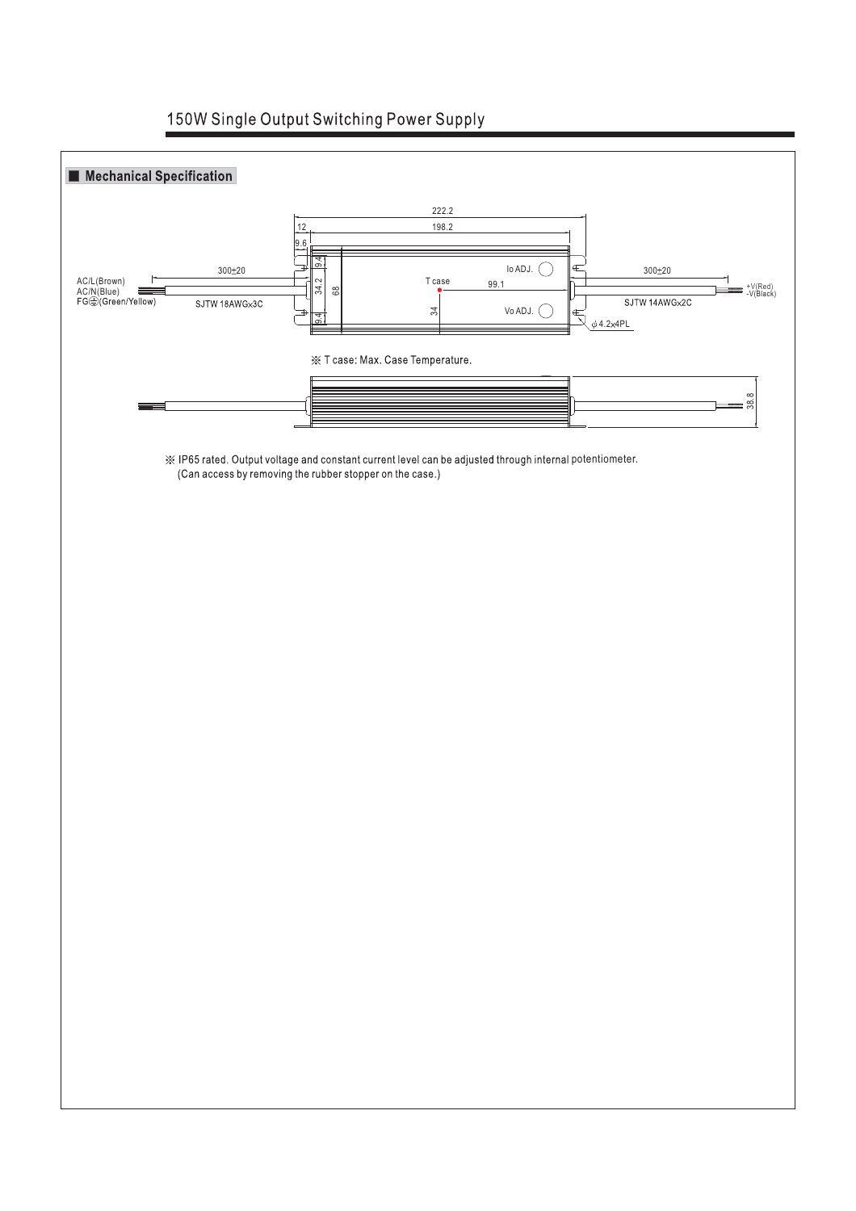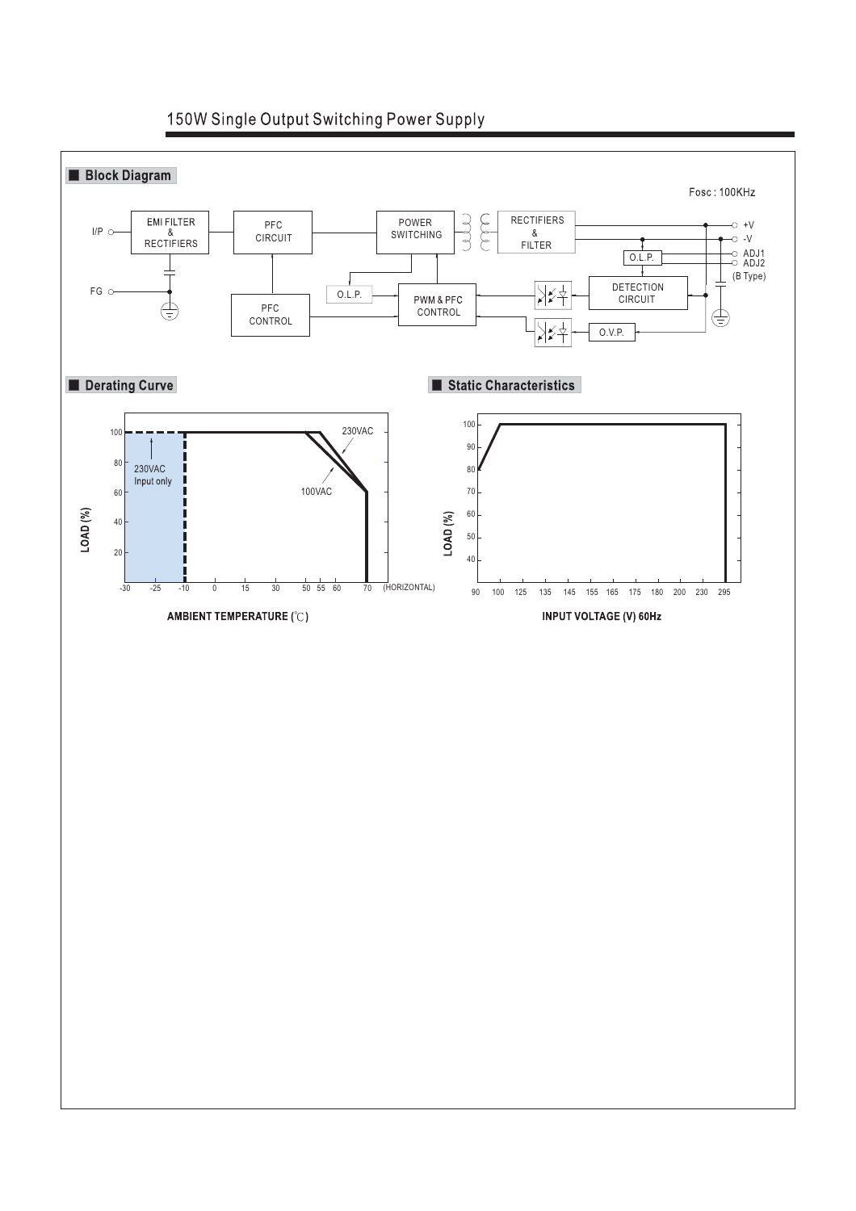